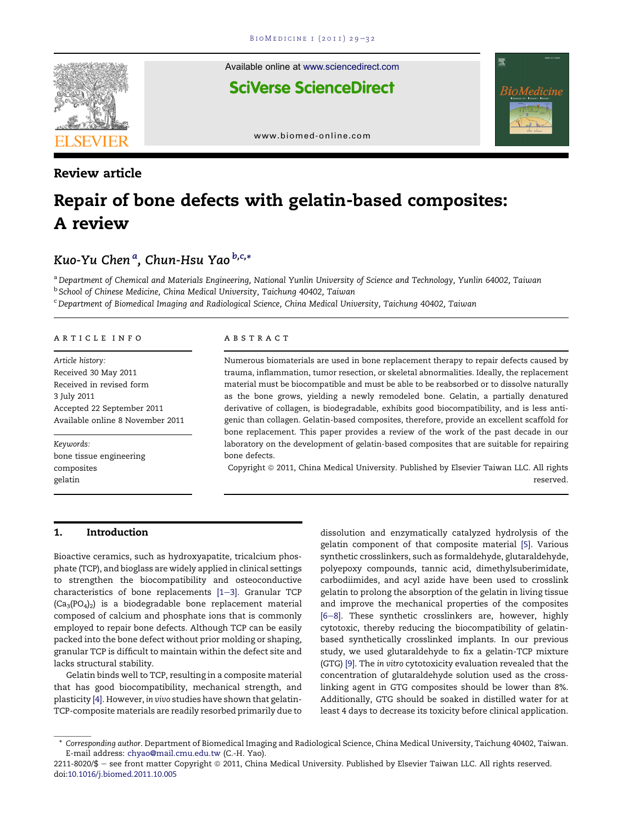

### Review article

Available online at [www.sciencedirect.com](www.sciencedirect.com/science/journal/22118020) **SciVerse ScienceDirect** 



[www.biomed-online.com](http://www.biomed-online.com)

# Repair of bone defects with gelatin-based composites: A review

## Kuo-Yu Chenª, Chun-Hsu Yao <sup>b,c,</sup>\*

a Department of Chemical and Materials Engineering, National Yunlin University of Science and Technology, Yunlin 64002, Taiwan <sup>b</sup> School of Chinese Medicine, China Medical University, Taichung 40402, Taiwan

<sup>c</sup> Department of Biomedical Imaging and Radiological Science, China Medical University, Taichung 40402, Taiwan

#### article info

Article history: Received 30 May 2011 Received in revised form 3 July 2011 Accepted 22 September 2011 Available online 8 November 2011

Keywords: bone tissue engineering composites gelatin

#### abstract

Numerous biomaterials are used in bone replacement therapy to repair defects caused by trauma, inflammation, tumor resection, or skeletal abnormalities. Ideally, the replacement material must be biocompatible and must be able to be reabsorbed or to dissolve naturally as the bone grows, yielding a newly remodeled bone. Gelatin, a partially denatured derivative of collagen, is biodegradable, exhibits good biocompatibility, and is less antigenic than collagen. Gelatin-based composites, therefore, provide an excellent scaffold for bone replacement. This paper provides a review of the work of the past decade in our laboratory on the development of gelatin-based composites that are suitable for repairing bone defects.

Copyright © 2011, China Medical University. Published by Elsevier Taiwan LLC. All rights reserved.

#### 1. Introduction

Bioactive ceramics, such as hydroxyapatite, tricalcium phosphate (TCP), and bioglass are widely applied in clinical settings to strengthen the biocompatibility and osteoconductive characteristics of bone replacements  $[1-3]$  $[1-3]$ . Granular TCP  $(Ca_3(PO_4)_2)$  is a biodegradable bone replacement material composed of calcium and phosphate ions that is commonly employed to repair bone defects. Although TCP can be easily packed into the bone defect without prior molding or shaping, granular TCP is difficult to maintain within the defect site and lacks structural stability.

Gelatin binds well to TCP, resulting in a composite material that has good biocompatibility, mechanical strength, and plasticity [\[4\].](#page-3-0) However, in vivo studies have shown that gelatin-TCP-composite materials are readily resorbed primarily due to

dissolution and enzymatically catalyzed hydrolysis of the gelatin component of that composite material [\[5\].](#page-3-0) Various synthetic crosslinkers, such as formaldehyde, glutaraldehyde, polyepoxy compounds, tannic acid, dimethylsuberimidate, carbodiimides, and acyl azide have been used to crosslink gelatin to prolong the absorption of the gelatin in living tissue and improve the mechanical properties of the composites [\[6](#page-3-0)-[8\].](#page-3-0) These synthetic crosslinkers are, however, highly cytotoxic, thereby reducing the biocompatibility of gelatinbased synthetically crosslinked implants. In our previous study, we used glutaraldehyde to fix a gelatin-TCP mixture (GTG) [\[9\]](#page-3-0). The in vitro cytotoxicity evaluation revealed that the concentration of glutaraldehyde solution used as the crosslinking agent in GTG composites should be lower than 8%. Additionally, GTG should be soaked in distilled water for at least 4 days to decrease its toxicity before clinical application.

<sup>\*</sup> Corresponding author. Department of Biomedical Imaging and Radiological Science, China Medical University, Taichung 40402, Taiwan. E-mail address: [chyao@mail.cmu.edu.tw](mailto:chyao@mail.cmu.edu.tw) (C.-H. Yao).

<sup>2211-8020/\$ -</sup> see front matter Copyright @ 2011, China Medical University. Published by Elsevier Taiwan LLC. All rights reserved. doi[:10.1016/j.biomed.2011.10.005](http://dx.doi.org/10.1016/j.biomed.2011.10.005)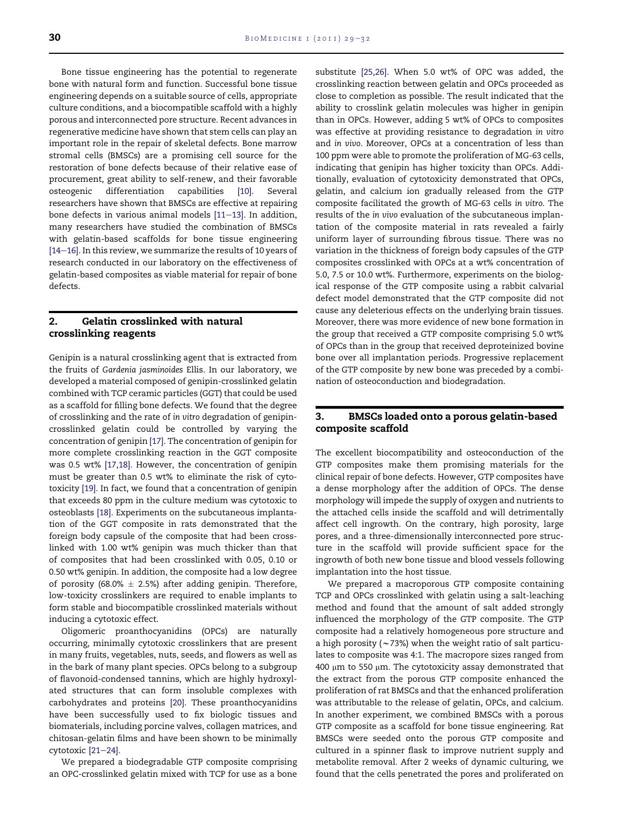Bone tissue engineering has the potential to regenerate bone with natural form and function. Successful bone tissue engineering depends on a suitable source of cells, appropriate culture conditions, and a biocompatible scaffold with a highly porous and interconnected pore structure. Recent advances in regenerative medicine have shown that stem cells can play an important role in the repair of skeletal defects. Bone marrow stromal cells (BMSCs) are a promising cell source for the restoration of bone defects because of their relative ease of procurement, great ability to self-renew, and their favorable osteogenic differentiation capabilities [\[10\].](#page-3-0) Several researchers have shown that BMSCs are effective at repairing bone defects in various animal models  $[11-13]$  $[11-13]$ . In addition, many researchers have studied the combination of BMSCs with gelatin-based scaffolds for bone tissue engineering [\[14](#page-3-0)-[16\].](#page-3-0) In this review, we summarize the results of 10 years of research conducted in our laboratory on the effectiveness of gelatin-based composites as viable material for repair of bone defects.

#### 2. Gelatin crosslinked with natural crosslinking reagents

Genipin is a natural crosslinking agent that is extracted from the fruits of Gardenia jasminoides Ellis. In our laboratory, we developed a material composed of genipin-crosslinked gelatin combined with TCP ceramic particles (GGT) that could be used as a scaffold for filling bone defects. We found that the degree of crosslinking and the rate of in vitro degradation of genipincrosslinked gelatin could be controlled by varying the concentration of genipin [\[17\].](#page-3-0) The concentration of genipin for more complete crosslinking reaction in the GGT composite was 0.5 wt% [\[17,18\].](#page-3-0) However, the concentration of genipin must be greater than 0.5 wt% to eliminate the risk of cytotoxicity [\[19\]](#page-3-0). In fact, we found that a concentration of genipin that exceeds 80 ppm in the culture medium was cytotoxic to osteoblasts [\[18\]](#page-3-0). Experiments on the subcutaneous implantation of the GGT composite in rats demonstrated that the foreign body capsule of the composite that had been crosslinked with 1.00 wt% genipin was much thicker than that of composites that had been crosslinked with 0.05, 0.10 or 0.50 wt% genipin. In addition, the composite had a low degree of porosity (68.0%  $\pm$  2.5%) after adding genipin. Therefore, low-toxicity crosslinkers are required to enable implants to form stable and biocompatible crosslinked materials without inducing a cytotoxic effect.

Oligomeric proanthocyanidins (OPCs) are naturally occurring, minimally cytotoxic crosslinkers that are present in many fruits, vegetables, nuts, seeds, and flowers as well as in the bark of many plant species. OPCs belong to a subgroup of flavonoid-condensed tannins, which are highly hydroxylated structures that can form insoluble complexes with carbohydrates and proteins [\[20\].](#page-3-0) These proanthocyanidins have been successfully used to fix biologic tissues and biomaterials, including porcine valves, collagen matrices, and chitosan-gelatin films and have been shown to be minimally cytotoxic  $[21-24]$  $[21-24]$  $[21-24]$ .

We prepared a biodegradable GTP composite comprising an OPC-crosslinked gelatin mixed with TCP for use as a bone

substitute [\[25,26\].](#page-3-0) When 5.0 wt% of OPC was added, the crosslinking reaction between gelatin and OPCs proceeded as close to completion as possible. The result indicated that the ability to crosslink gelatin molecules was higher in genipin than in OPCs. However, adding 5 wt% of OPCs to composites was effective at providing resistance to degradation in vitro and in vivo. Moreover, OPCs at a concentration of less than 100 ppm were able to promote the proliferation of MG-63 cells, indicating that genipin has higher toxicity than OPCs. Additionally, evaluation of cytotoxicity demonstrated that OPCs, gelatin, and calcium ion gradually released from the GTP composite facilitated the growth of MG-63 cells in vitro. The results of the in vivo evaluation of the subcutaneous implantation of the composite material in rats revealed a fairly uniform layer of surrounding fibrous tissue. There was no variation in the thickness of foreign body capsules of the GTP composites crosslinked with OPCs at a wt% concentration of 5.0, 7.5 or 10.0 wt%. Furthermore, experiments on the biological response of the GTP composite using a rabbit calvarial defect model demonstrated that the GTP composite did not cause any deleterious effects on the underlying brain tissues. Moreover, there was more evidence of new bone formation in the group that received a GTP composite comprising 5.0 wt% of OPCs than in the group that received deproteinized bovine bone over all implantation periods. Progressive replacement of the GTP composite by new bone was preceded by a combination of osteoconduction and biodegradation.

#### 3. BMSCs loaded onto a porous gelatin-based composite scaffold

The excellent biocompatibility and osteoconduction of the GTP composites make them promising materials for the clinical repair of bone defects. However, GTP composites have a dense morphology after the addition of OPCs. The dense morphology will impede the supply of oxygen and nutrients to the attached cells inside the scaffold and will detrimentally affect cell ingrowth. On the contrary, high porosity, large pores, and a three-dimensionally interconnected pore structure in the scaffold will provide sufficient space for the ingrowth of both new bone tissue and blood vessels following implantation into the host tissue.

We prepared a macroporous GTP composite containing TCP and OPCs crosslinked with gelatin using a salt-leaching method and found that the amount of salt added strongly influenced the morphology of the GTP composite. The GTP composite had a relatively homogeneous pore structure and a high porosity ( $\sim$  73%) when the weight ratio of salt particulates to composite was 4:1. The macropore sizes ranged from  $400 \mu m$  to 550  $\mu m$ . The cytotoxicity assay demonstrated that the extract from the porous GTP composite enhanced the proliferation of rat BMSCs and that the enhanced proliferation was attributable to the release of gelatin, OPCs, and calcium. In another experiment, we combined BMSCs with a porous GTP composite as a scaffold for bone tissue engineering. Rat BMSCs were seeded onto the porous GTP composite and cultured in a spinner flask to improve nutrient supply and metabolite removal. After 2 weeks of dynamic culturing, we found that the cells penetrated the pores and proliferated on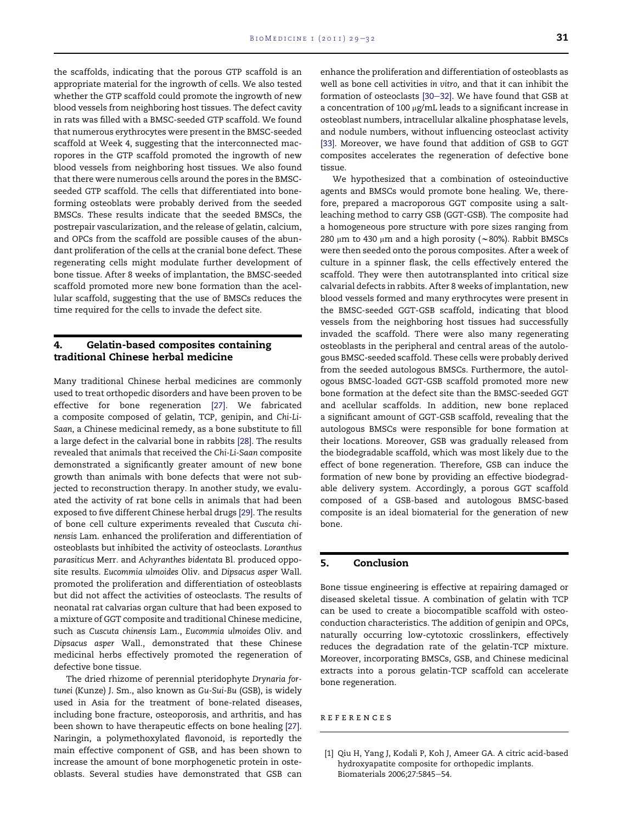<span id="page-2-0"></span>the scaffolds, indicating that the porous GTP scaffold is an appropriate material for the ingrowth of cells. We also tested whether the GTP scaffold could promote the ingrowth of new blood vessels from neighboring host tissues. The defect cavity in rats was filled with a BMSC-seeded GTP scaffold. We found that numerous erythrocytes were present in the BMSC-seeded scaffold at Week 4, suggesting that the interconnected macropores in the GTP scaffold promoted the ingrowth of new blood vessels from neighboring host tissues. We also found that there were numerous cells around the pores in the BMSCseeded GTP scaffold. The cells that differentiated into boneforming osteoblats were probably derived from the seeded BMSCs. These results indicate that the seeded BMSCs, the postrepair vascularization, and the release of gelatin, calcium, and OPCs from the scaffold are possible causes of the abundant proliferation of the cells at the cranial bone defect. These regenerating cells might modulate further development of bone tissue. After 8 weeks of implantation, the BMSC-seeded scaffold promoted more new bone formation than the acellular scaffold, suggesting that the use of BMSCs reduces the time required for the cells to invade the defect site.

#### 4. Gelatin-based composites containing traditional Chinese herbal medicine

Many traditional Chinese herbal medicines are commonly used to treat orthopedic disorders and have been proven to be effective for bone regeneration [\[27\]](#page-3-0). We fabricated a composite composed of gelatin, TCP, genipin, and Chi-Li-Saan, a Chinese medicinal remedy, as a bone substitute to fill a large defect in the calvarial bone in rabbits [\[28\].](#page-3-0) The results revealed that animals that received the Chi-Li-Saan composite demonstrated a significantly greater amount of new bone growth than animals with bone defects that were not subjected to reconstruction therapy. In another study, we evaluated the activity of rat bone cells in animals that had been exposed to five different Chinese herbal drugs [\[29\].](#page-3-0) The results of bone cell culture experiments revealed that Cuscuta chinensis Lam. enhanced the proliferation and differentiation of osteoblasts but inhibited the activity of osteoclasts. Loranthus parasiticus Merr. and Achyranthes bidentata Bl. produced opposite results. Eucommia ulmoides Oliv. and Dipsacus asper Wall. promoted the proliferation and differentiation of osteoblasts but did not affect the activities of osteoclasts. The results of neonatal rat calvarias organ culture that had been exposed to a mixture of GGT composite and traditional Chinese medicine, such as Cuscuta chinensis Lam., Eucommia ulmoides Oliv. and Dipsacus asper Wall., demonstrated that these Chinese medicinal herbs effectively promoted the regeneration of defective bone tissue.

The dried rhizome of perennial pteridophyte Drynaria fortunei (Kunze) J. Sm., also known as Gu-Sui-Bu (GSB), is widely used in Asia for the treatment of bone-related diseases, including bone fracture, osteoporosis, and arthritis, and has been shown to have therapeutic effects on bone healing [\[27\].](#page-3-0) Naringin, a polymethoxylated flavonoid, is reportedly the main effective component of GSB, and has been shown to increase the amount of bone morphogenetic protein in osteoblasts. Several studies have demonstrated that GSB can enhance the proliferation and differentiation of osteoblasts as well as bone cell activities in vitro, and that it can inhibit the formation of osteoclasts  $[30-32]$  $[30-32]$ . We have found that GSB at a concentration of 100  $\mu$ g/mL leads to a significant increase in osteoblast numbers, intracellular alkaline phosphatase levels, and nodule numbers, without influencing osteoclast activity [\[33\].](#page-3-0) Moreover, we have found that addition of GSB to GGT composites accelerates the regeneration of defective bone tissue.

We hypothesized that a combination of osteoinductive agents and BMSCs would promote bone healing. We, therefore, prepared a macroporous GGT composite using a saltleaching method to carry GSB (GGT-GSB). The composite had a homogeneous pore structure with pore sizes ranging from 280  $\mu$ m to 430  $\mu$ m and a high porosity (~80%). Rabbit BMSCs were then seeded onto the porous composites. After a week of culture in a spinner flask, the cells effectively entered the scaffold. They were then autotransplanted into critical size calvarial defects in rabbits. After 8 weeks of implantation, new blood vessels formed and many erythrocytes were present in the BMSC-seeded GGT-GSB scaffold, indicating that blood vessels from the neighboring host tissues had successfully invaded the scaffold. There were also many regenerating osteoblasts in the peripheral and central areas of the autologous BMSC-seeded scaffold. These cells were probably derived from the seeded autologous BMSCs. Furthermore, the autologous BMSC-loaded GGT-GSB scaffold promoted more new bone formation at the defect site than the BMSC-seeded GGT and acellular scaffolds. In addition, new bone replaced a significant amount of GGT-GSB scaffold, revealing that the autologous BMSCs were responsible for bone formation at their locations. Moreover, GSB was gradually released from the biodegradable scaffold, which was most likely due to the effect of bone regeneration. Therefore, GSB can induce the formation of new bone by providing an effective biodegradable delivery system. Accordingly, a porous GGT scaffold composed of a GSB-based and autologous BMSC-based composite is an ideal biomaterial for the generation of new bone.

#### 5. Conclusion

Bone tissue engineering is effective at repairing damaged or diseased skeletal tissue. A combination of gelatin with TCP can be used to create a biocompatible scaffold with osteoconduction characteristics. The addition of genipin and OPCs, naturally occurring low-cytotoxic crosslinkers, effectively reduces the degradation rate of the gelatin-TCP mixture. Moreover, incorporating BMSCs, GSB, and Chinese medicinal extracts into a porous gelatin-TCP scaffold can accelerate bone regeneration.

references

<sup>[1]</sup> Qiu H, Yang J, Kodali P, Koh J, Ameer GA. A citric acid-based hydroxyapatite composite for orthopedic implants. Biomaterials 2006;27:5845-54.